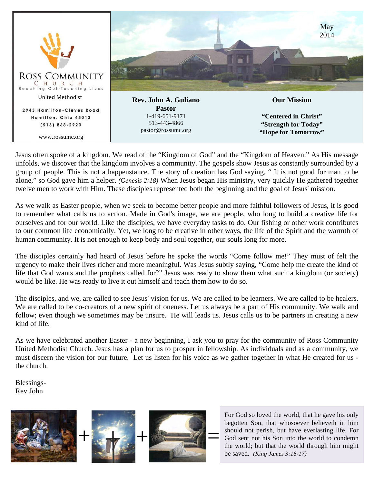

Jesus often spoke of a kingdom. We read of the "Kingdom of God" and the "Kingdom of Heaven." As His message unfolds, we discover that the kingdom involves a community. The gospels show Jesus as constantly surrounded by a group of people. This is not a happenstance. The story of creation has God saying, " It is not good for man to be alone," so God gave him a helper. *(Genesis 2:18)* When Jesus began His ministry, very quickly He gathered together twelve men to work with Him. These disciples represented both the beginning and the goal of Jesus' mission.

As we walk as Easter people, when we seek to become better people and more faithful followers of Jesus, it is good to remember what calls us to action. Made in God's image, we are people, who long to build a creative life for ourselves and for our world. Like the disciples, we have everyday tasks to do. Our fishing or other work contributes to our common life economically. Yet, we long to be creative in other ways, the life of the Spirit and the warmth of human community. It is not enough to keep body and soul together, our souls long for more.

The disciples certainly had heard of Jesus before he spoke the words "Come follow me!" They must of felt the urgency to make their lives richer and more meaningful. Was Jesus subtly saying, "Come help me create the kind of life that God wants and the prophets called for?" Jesus was ready to show them what such a kingdom (or society) would be like. He was ready to live it out himself and teach them how to do so.

The disciples, and we, are called to see Jesus' vision for us. We are called to be learners. We are called to be healers. We are called to be co-creators of a new spirit of oneness. Let us always be a part of His community. We walk and follow; even though we sometimes may be unsure. He will leads us. Jesus calls us to be partners in creating a new kind of life.

As we have celebrated another Easter - a new beginning, I ask you to pray for the community of Ross Community United Methodist Church. Jesus has a plan for us to prosper in fellowship. As individuals and as a community, we must discern the vision for our future. Let us listen for his voice as we gather together in what He created for us the church.

Blessings-Rev John



For God so loved the world, that he gave his only begotten Son, that whosoever believeth in him should not perish, but have everlasting life. For God sent not his Son into the world to condemn the world; but that the world through him might be saved. *(King James 3:16-17)*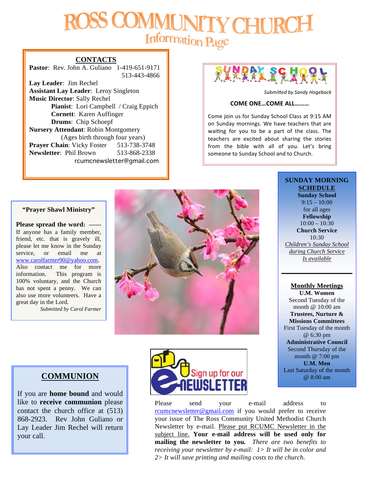# CHI. Information Page

#### **CONTACTS**

**Pastor**: Rev. John A. Guliano 1-419-651-9171 513-443-4866

**Lay Leader**: Jim Rechel **Assistant Lay Leader**: Leroy Singleton **Music Director**: Sally Rechel **Pianist**: Lori Campbell / Craig Eppich **Cornett**: Karen Auffinger **Drums**: Chip Schoepf **Nursery Attendant**: Robin Montgomery (Ages birth through four years) **Prayer Chain:** Vicky Foster 513-738-3748 **Newsletter**: Phil Brown 513-868-2338 rcumcnewsletter@gmail.com



Submitted by Sandy Hogeback

#### **COME ONE…COME ALL………**

Come join us for Sunday School Class at 9:15 AM on Sunday mornings. We have teachers that are waiting for you to be a part of the class. The teachers are excited about sharing the stories from the bible with all of you. Let's bring someone to Sunday School and to Church.

#### **"Prayer Shawl Ministry"**

**Please spread the word: ------** If anyone has a family member, friend, etc. that is gravely ill, please let me know in the Sunday service, or email me at www.carolfarmer90@yahoo.com. Also contact me for more information. This program is 100% voluntary, and the Church has not spent a penny. We can also use more volunteers. Have a great day in the Lord.

*Submitted by Carol Farmer*



**SCHEDULE Sunday School**  $9:15 - 10:00$ for all ages **Fellowship**  $10:00 - 10:30$ **Church Service** 10:30

**SUNDAY MORNING** 

*Children's Sunday School during Church Service Is available*

## **Monthly Meetings**

**U.M. Women** Second Tuesday of the month @ 10:00 am **Trustees, Nurture & Missions Committees** First Tuesday of the month @ 6:30 pm **Administrative Council** Second Thursday of the month @ 7:00 pm **U.M. Men** Last Saturday of the month @ 8:00 am

## **COMMUNION**

If you are **home bound** and would like to **receive communion** please contact the church office at (513) 868-2923. Rev John Guliano or Lay Leader Jim Rechel will return your call.



Please send your e-mail address to rcumcnewsletter@gmail.com if you would prefer to receive your issue of The Ross Community United Methodist Church Newsletter by e-mail. Please put RCUMC Newsletter in the subject line. **Your e-mail address will be used only for mailing the newsletter to you***. There are two benefits to receiving your newsletter by e-mail: 1> It will be in color and 2> It will save printing and mailing costs to the church.*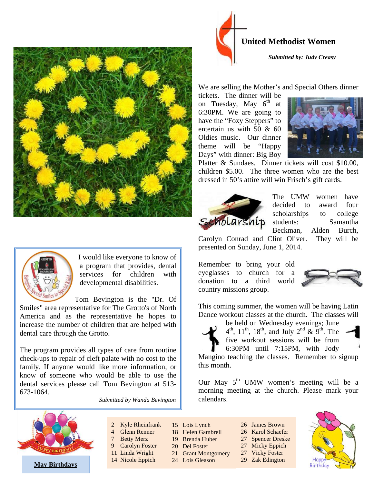



I would like everyone to know of a program that provides, dental services for children with developmental disabilities.

Tom Bevington is the "Dr. Of Smiles" area representative for The Grotto's of North America and as the representative he hopes to increase the number of children that are helped with dental care through the Grotto.

The program provides all types of care from routine check-ups to repair of cleft palate with no cost to the family. If anyone would like more information, or know of someone who would be able to use the dental services please call Tom Bevington at 513- 673-1064.





*Submitted by: Judy Creasy*

We are selling the Mother's and Special Others dinner

tickets. The dinner will be on Tuesday, May  $6<sup>th</sup>$  at 6:30PM. We are going to have the "Foxy Steppers" to entertain us with 50 & 60 Oldies music. Our dinner theme will be "Happy Days" with dinner: Big Boy



Platter & Sundaes. Dinner tickets will cost \$10.00, children \$5.00. The three women who are the best dressed in 50's attire will win Frisch's gift cards.



The UMW women have decided to award four scholarships to college Scholarship students: Samantha Beckman, Alden Burch,

Carolyn Conrad and Clint Oliver. They will be presented on Sunday, June 1, 2014.

Remember to bring your old eyeglasses to church for a donation to a third world country missions group.



This coming summer, the women will be having Latin Dance workout classes at the church. The classes will



be held on Wednesday evenings; June  $4^{th}$ ,  $11^{th}$ ,  $18^{th}$ , and July  $2^{nd}$  &  $9^{th}$ . The five workout sessions will be from 6:30PM until 7:15PM, with Jody

Mangino teaching the classes. Remember to signup this month.

Our May  $5<sup>th</sup>$  UMW women's meeting will be a morning meeting at the church. Please mark your calendars.



- 2 Kyle Rheinfrank 4 Glenn Renner
- 7 Betty Merz
- 9 Carolyn Foster
- 11 Linda Wright
- 
- 14 Nicole Eppich
- 15 Lois Lynch 18 Helen Gambrell
- 19 Brenda Huber
- 20 Del Foster
- 21 Grant Montgomery
- 24 Lois Gleason

26 Karol Schaefer 27 Spencer Dreske

- 27 Micky Eppich
- 27 Vicky Foster

26 James Brown

29 Zak Edington

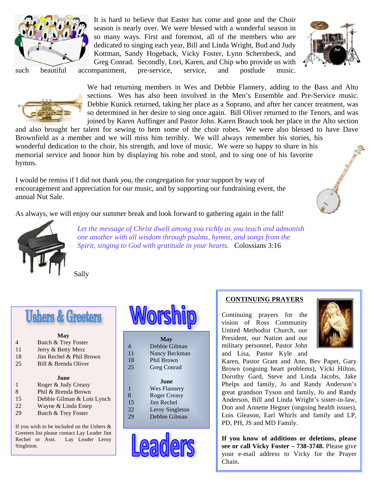

It is hard to believe that Easter has come and gone and the Choir season is nearly over. We were blessed with a wonderful season in so many ways. First and foremost, all of the members who are dedicated to singing each year, Bill and Linda Wright, Bud and Judy Kottman, Sandy Hogeback, Vicky Foster, Lynn Schernbeck, and Greg Conrad. Secondly, Lori, Karen, and Chip who provide us with



such beautiful accompaniment, pre-service, service, and postlude music.



We had returning members in Wes and Debbie Flannery, adding to the Bass and Alto sections. Wes has also been involved in the Men's Ensemble and Pre-Service music. Debbie Kunick returned, taking her place as a Soprano, and after her cancer treatment, was so determined in her desire to sing once again. Bill Oliver returned to the Tenors, and was joined by Karen Auffinger and Pastor John. Karen Brauch took her place in the Alto section

and also brought her talent for sewing to hem some of the choir robes. We were also blessed to have Dave Brownfield as a member and we will miss him terribly. We will always remember his stories, his wonderful dedication to the choir, his strength, and love of music. We were so happy to share in his memorial service and honor him by displaying his robe and stool, and to sing one of his favorite hymns.

I would be remiss if I did not thank *you*, the congregation for your support by way of encouragement and appreciation for our music, and by supporting our fundraising event, the annual Nut Sale.

As always, we will enjoy our summer break and look forward to gathering again in the fall!



*Let the message of Christ dwell among you richly as you teach and admonish one another with all wisdom through psalms, hymns, and songs from the Spirit, singing to God with gratitude in your hearts.* Colossians 3:16

Sally

## **Ushers & Greeters**

| May                                           |                            |  |
|-----------------------------------------------|----------------------------|--|
| 4                                             | Butch & Trey Foster        |  |
| 11                                            | Jerry & Betty Merz         |  |
| 18                                            | Jim Rechel & Phil Brown    |  |
| 25                                            | Bill & Brenda Oliver       |  |
|                                               |                            |  |
| June.                                         |                            |  |
| 1                                             | Roger & Judy Creasy        |  |
| 8                                             | Phil & Brenda Brown        |  |
| 15                                            | Debbie Gilman & Lois Lynch |  |
| 22                                            | Wayne & Linda Estep        |  |
| 29                                            | Butch & Trey Foster        |  |
| If you wish to be included on the Ushers $\&$ |                            |  |

Greeters list please contact Lay Leader Jim Rechel or Asst. Lay Leader Leroy Singleton.



|    | <b>May</b>    |
|----|---------------|
| 4  | Debbie Gilman |
| 11 | Nancy Beckman |
| 18 | Phil Brown    |

18 25 Greg Conrad

#### **June**

| 1   | <b>Wes Flannery</b> |
|-----|---------------------|
| 8   | <b>Roger Creasy</b> |
| 15  | Jim Rechel          |
| 22. | Leroy Singleton     |
| 29  | Debbie Gilman       |



## **CONTINUING PRAYERS**

Continuing prayers for the vision of Ross Community United Methodist Church, our President, our Nation and our military personnel, Pastor John and Lisa, Pastor Kyle and



Karen, Pastor Grant and Ann, Bev Papet, Gary Brown (ongoing heart problems), Vicki Hilton, Dorothy Gard, Steve and Linda Jacobs, Jake Phelps and family, Jo and Randy Anderson's great grandson Tyson and family, Jo and Randy Anderson, Bill and Linda Wright's sister-in-law, Don and Annette Hegner (ongoing health issues), Lois Gleason, Earl Whirls and family and LP, PD, PH, JS and MD Family.

**If you know of additions or deletions, please see or call Vicky Foster – 738-3748.** Please give your e-mail address to Vicky for the Prayer Chain.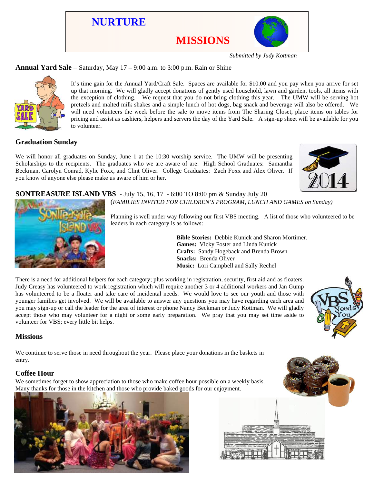

*Submitted by Judy Kottman*

## **Annual Yard Sale** – Saturday, May 17 – 9:00 a.m. to 3:00 p.m. Rain or Shine



It's time gain for the Annual Yard/Craft Sale. Spaces are available for \$10.00 and you pay when you arrive for set up that morning. We will gladly accept donations of gently used household, lawn and garden, tools, all items with the exception of clothing. We request that you do not bring clothing this year. The UMW will be serving hot pretzels and malted milk shakes and a simple lunch of hot dogs, bag snack and beverage will also be offered. We will need volunteers the week before the sale to move items from The Sharing Closet, place items on tables for pricing and assist as cashiers, helpers and servers the day of the Yard Sale. A sign-up sheet will be available for you to volunteer.

## **Graduation Sunday**

We will honor all graduates on Sunday, June 1 at the 10:30 worship service. The UMW will be presenting Scholarships to the recipients. The graduates who we are aware of are: High School Graduates: Samantha Beckman, Carolyn Conrad, Kylie Foxx, and Clint Oliver. College Graduates: Zach Foxx and Alex Oliver. If you know of anyone else please make us aware of him or her.



#### **SONTREASURE ISLAND VBS** - July 15, 16, 17 - 6:00 TO 8:00 pm & Sunday July 20 (*FAMILIES INVITED FOR CHILDREN'S PROGRAM, LUNCH AND GAMES on Sunday)*



Planning is well under way following our first VBS meeting. A list of those who volunteered to be leaders in each category is as follows:

> **Bible Stories:** Debbie Kunick and Sharon Mortimer. **Games:** Vicky Foster and Linda Kunick **Crafts:** Sandy Hogeback and Brenda Brown **Snacks:** Brenda Oliver **Music:** Lori Campbell and Sally Rechel

There is a need for additional helpers for each category; plus working in registration, security, first aid and as floaters. Judy Creasy has volunteered to work registration which will require another 3 or 4 additional workers and Jan Gump has volunteered to be a floater and take care of incidental needs. We would love to see our youth and those with younger families get involved. We will be available to answer any questions you may have regarding each area and you may sign-up or call the leader for the area of interest or phone Nancy Beckman or Judy Kottman. We will gladly accept those who may volunteer for a night or some early preparation. We pray that you may set time aside to volunteer for VBS; every little bit helps.



We continue to serve those in need throughout the year. Please place your donations in the baskets in entry.

## **Coffee Hour**

We sometimes forget to show appreciation to those who make coffee hour possible on a weekly basis. Many thanks for those in the kitchen and those who provide baked goods for our enjoyment.